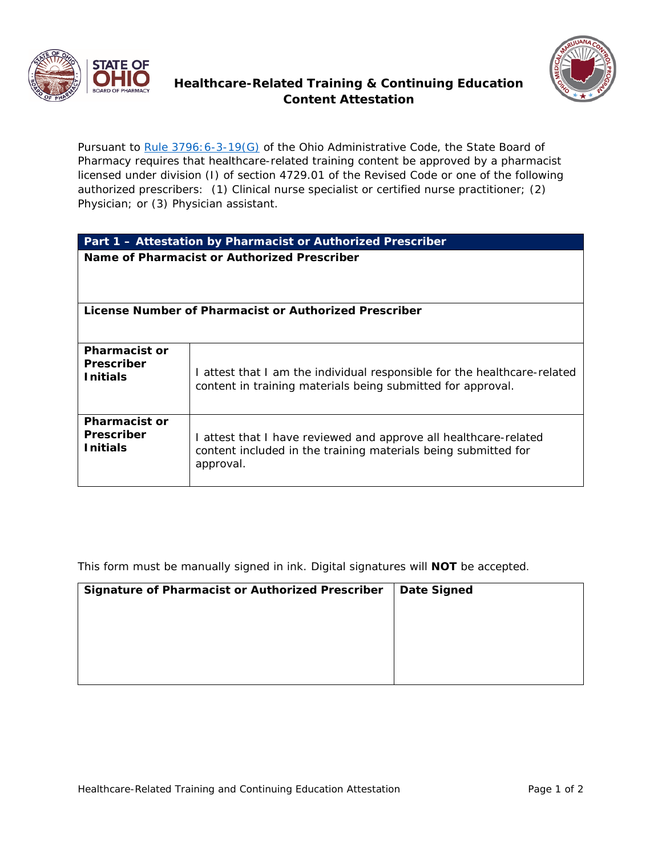

## **Healthcare-Related Training & Continuing Education Content Attestation**

Pursuant to Rule 3796: 6-3-19(G) of the Ohio Administrative Code, the State Board of Pharmacy requires that healthcare-related training content be approved by a pharmacist licensed under division (I) of section 4729.01 of the Revised Code or one of the following authorized prescribers: (1) Clinical nurse specialist or certified nurse practitioner; (2) Physician; or (3) Physician assistant.

| Part 1 - Attestation by Pharmacist or Authorized Prescriber  |                                                                                                                                                 |  |  |
|--------------------------------------------------------------|-------------------------------------------------------------------------------------------------------------------------------------------------|--|--|
| Name of Pharmacist or Authorized Prescriber                  |                                                                                                                                                 |  |  |
| License Number of Pharmacist or Authorized Prescriber        |                                                                                                                                                 |  |  |
| <b>Pharmacist or</b><br><b>Prescriber</b><br><b>Initials</b> | I attest that I am the individual responsible for the healthcare-related<br>content in training materials being submitted for approval.         |  |  |
| <b>Pharmacist or</b><br><b>Prescriber</b><br><b>Initials</b> | I attest that I have reviewed and approve all healthcare-related<br>content included in the training materials being submitted for<br>approval. |  |  |

This form must be manually signed in ink. Digital signatures will **NOT** be accepted.

| Date Signed |
|-------------|
|             |
|             |
|             |
|             |
|             |